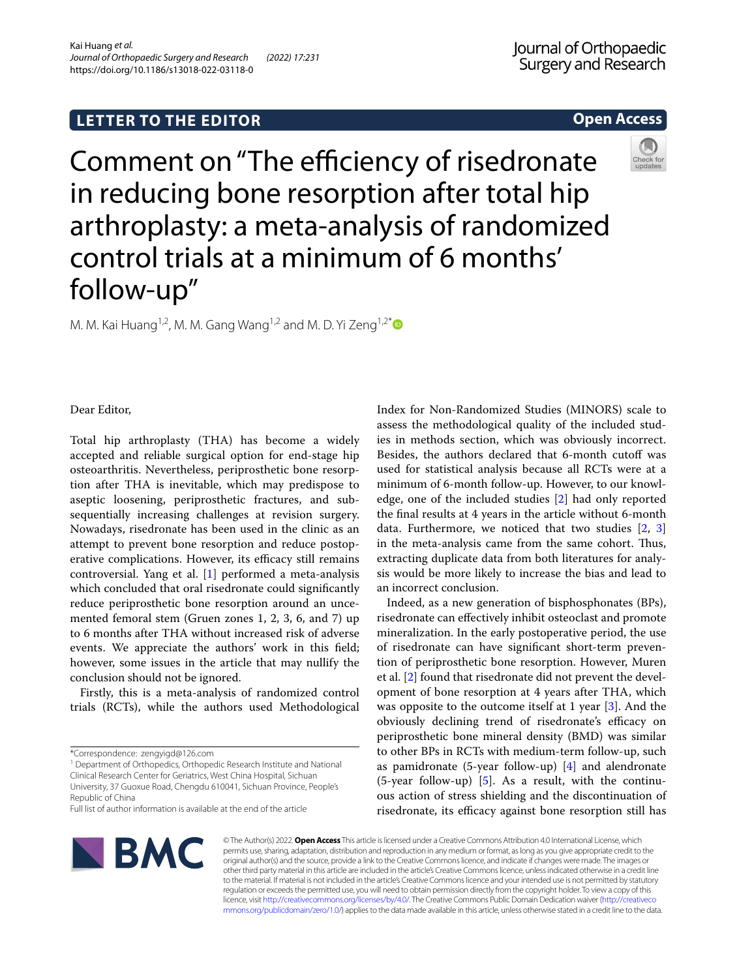# **LETTER TO THE EDITOR**

## **Open Access**



Comment on "The efficiency of risedronate in reducing bone resorption after total hip arthroplasty: a meta-analysis of randomized control trials at a minimum of 6 months' follow-up"

M. M. Kai Huang<sup>1,2</sup>, M. M. Gang Wang<sup>1,2</sup> and M. D. Yi Zeng<sup>1,2[\\*](http://orcid.org/0000-0003-1650-8020)</sup>

Dear Editor,

Total hip arthroplasty (THA) has become a widely accepted and reliable surgical option for end-stage hip osteoarthritis. Nevertheless, periprosthetic bone resorption after THA is inevitable, which may predispose to aseptic loosening, periprosthetic fractures, and subsequentially increasing challenges at revision surgery. Nowadays, risedronate has been used in the clinic as an attempt to prevent bone resorption and reduce postoperative complications. However, its efficacy still remains controversial. Yang et al. [\[1](#page-1-0)] performed a meta-analysis which concluded that oral risedronate could signifcantly reduce periprosthetic bone resorption around an uncemented femoral stem (Gruen zones 1, 2, 3, 6, and 7) up to 6 months after THA without increased risk of adverse events. We appreciate the authors' work in this feld; however, some issues in the article that may nullify the conclusion should not be ignored.

Firstly, this is a meta-analysis of randomized control trials (RCTs), while the authors used Methodological Index for Non-Randomized Studies (MINORS) scale to assess the methodological quality of the included studies in methods section, which was obviously incorrect. Besides, the authors declared that 6-month cutoff was used for statistical analysis because all RCTs were at a minimum of 6-month follow-up. However, to our knowledge, one of the included studies [\[2](#page-1-1)] had only reported the fnal results at 4 years in the article without 6-month data. Furthermore, we noticed that two studies [\[2](#page-1-1), [3](#page-1-2)] in the meta-analysis came from the same cohort. Thus, extracting duplicate data from both literatures for analysis would be more likely to increase the bias and lead to an incorrect conclusion.

Indeed, as a new generation of bisphosphonates (BPs), risedronate can efectively inhibit osteoclast and promote mineralization. In the early postoperative period, the use of risedronate can have signifcant short-term prevention of periprosthetic bone resorption. However, Muren et al. [\[2](#page-1-1)] found that risedronate did not prevent the development of bone resorption at 4 years after THA, which was opposite to the outcome itself at 1 year [[3\]](#page-1-2). And the obviously declining trend of risedronate's efficacy on periprosthetic bone mineral density (BMD) was similar to other BPs in RCTs with medium-term follow-up, such as pamidronate (5-year follow-up)  $[4]$  $[4]$  and alendronate  $(5$ -year follow-up) [\[5](#page-1-4)]. As a result, with the continuous action of stress shielding and the discontinuation of risedronate, its efficacy against bone resorption still has



© The Author(s) 2022. **Open Access** This article is licensed under a Creative Commons Attribution 4.0 International License, which permits use, sharing, adaptation, distribution and reproduction in any medium or format, as long as you give appropriate credit to the original author(s) and the source, provide a link to the Creative Commons licence, and indicate if changes were made. The images or other third party material in this article are included in the article's Creative Commons licence, unless indicated otherwise in a credit line to the material. If material is not included in the article's Creative Commons licence and your intended use is not permitted by statutory regulation or exceeds the permitted use, you will need to obtain permission directly from the copyright holder. To view a copy of this licence, visit [http://creativecommons.org/licenses/by/4.0/.](http://creativecommons.org/licenses/by/4.0/) The Creative Commons Public Domain Dedication waiver ([http://creativeco](http://creativecommons.org/publicdomain/zero/1.0/) [mmons.org/publicdomain/zero/1.0/](http://creativecommons.org/publicdomain/zero/1.0/)) applies to the data made available in this article, unless otherwise stated in a credit line to the data.

<sup>\*</sup>Correspondence: zengyigd@126.com

<sup>&</sup>lt;sup>1</sup> Department of Orthopedics, Orthopedic Research Institute and National Clinical Research Center for Geriatrics, West China Hospital, Sichuan University, 37 Guoxue Road, Chengdu 610041, Sichuan Province, People's Republic of China

Full list of author information is available at the end of the article